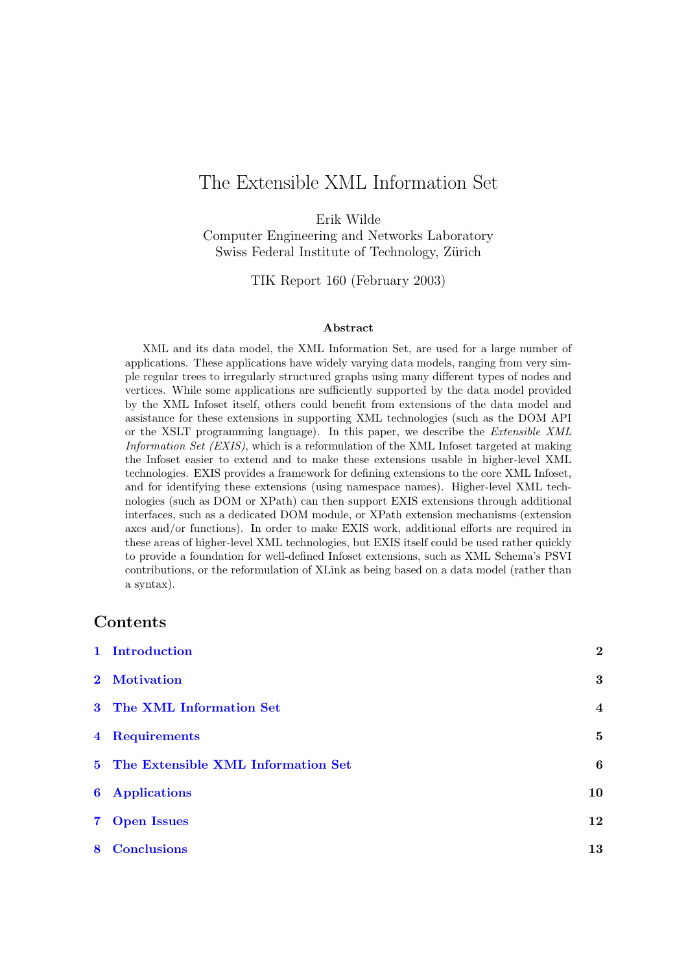# The Extensible XML Information Set

Erik Wilde

Computer Engineering and Networks Laboratory Swiss Federal Institute of Technology, Zürich

TIK Report 160 (February 2003)

#### Abstract

XML and its data model, the XML Information Set, are used for a large number of applications. These applications have widely varying data models, ranging from very simple regular trees to irregularly structured graphs using many different types of nodes and vertices. While some applications are sufficiently supported by the data model provided by the XML Infoset itself, others could benefit from extensions of the data model and assistance for these extensions in supporting XML technologies (such as the DOM API or the XSLT programming language). In this paper, we describe the Extensible XML Information Set (EXIS), which is a reformulation of the XML Infoset targeted at making the Infoset easier to extend and to make these extensions usable in higher-level XML technologies. EXIS provides a framework for defining extensions to the core XML Infoset, and for identifying these extensions (using namespace names). Higher-level XML technologies (such as DOM or XPath) can then support EXIS extensions through additional interfaces, such as a dedicated DOM module, or XPath extension mechanisms (extension axes and/or functions). In order to make EXIS work, additional efforts are required in these areas of higher-level XML technologies, but EXIS itself could be used rather quickly to provide a foundation for well-defined Infoset extensions, such as XML Schema's PSVI contributions, or the reformulation of XLink as being based on a data model (rather than a syntax).

### Contents

| 1 Introduction                       | $\overline{2}$ |
|--------------------------------------|----------------|
| 2 Motivation                         | 3              |
| 3 The XML Information Set            | $\overline{4}$ |
| 4 Requirements                       | 5              |
| 5 The Extensible XML Information Set | 6              |
| <b>6</b> Applications                | 10             |
| <b>7</b> Open Issues                 | 12             |
| 8 Conclusions                        | 13             |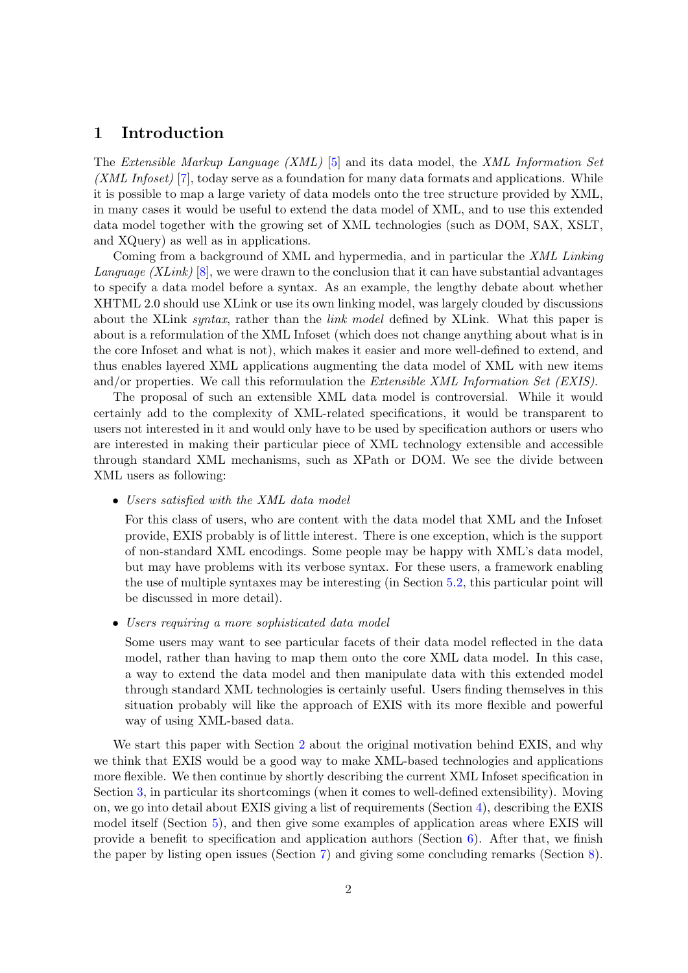### <span id="page-1-0"></span>1 Introduction

The Extensible Markup Language (XML)  $[5]$  and its data model, the XML Information Set (*XML Infoset*) [\[7\]](#page-13-0), today serve as a foundation for many data formats and applications. While it is possible to map a large variety of data models onto the tree structure provided by XML, in many cases it would be useful to extend the data model of XML, and to use this extended data model together with the growing set of XML technologies (such as DOM, SAX, XSLT, and XQuery) as well as in applications.

Coming from a background of XML and hypermedia, and in particular the XML Linking *Language (XLink)* [\[8\]](#page-13-0), we were drawn to the conclusion that it can have substantial advantages to specify a data model before a syntax. As an example, the lengthy debate about whether XHTML 2.0 should use XLink or use its own linking model, was largely clouded by discussions about the XLink *syntax*, rather than the *link model* defined by XLink. What this paper is about is a reformulation of the XML Infoset (which does not change anything about what is in the core Infoset and what is not), which makes it easier and more well-defined to extend, and thus enables layered XML applications augmenting the data model of XML with new items and/or properties. We call this reformulation the *Extensible XML Information Set (EXIS)*.

The proposal of such an extensible XML data model is controversial. While it would certainly add to the complexity of XML-related specifications, it would be transparent to users not interested in it and would only have to be used by specification authors or users who are interested in making their particular piece of XML technology extensible and accessible through standard XML mechanisms, such as XPath or DOM. We see the divide between XML users as following:

• Users satisfied with the XML data model

For this class of users, who are content with the data model that XML and the Infoset provide, EXIS probably is of little interest. There is one exception, which is the support of non-standard XML encodings. Some people may be happy with XML's data model, but may have problems with its verbose syntax. For these users, a framework enabling the use of multiple syntaxes may be interesting (in Section [5.2,](#page-7-0) this particular point will be discussed in more detail).

• Users requiring a more sophisticated data model

Some users may want to see particular facets of their data model reflected in the data model, rather than having to map them onto the core XML data model. In this case, a way to extend the data model and then manipulate data with this extended model through standard XML technologies is certainly useful. Users finding themselves in this situation probably will like the approach of EXIS with its more flexible and powerful way of using XML-based data.

We start this paper with Section [2](#page-2-0) about the original motivation behind EXIS, and why we think that EXIS would be a good way to make XML-based technologies and applications more flexible. We then continue by shortly describing the current XML Infoset specification in Section [3,](#page-3-0) in particular its shortcomings (when it comes to well-defined extensibility). Moving on, we go into detail about EXIS giving a list of requirements (Section [4\)](#page-4-0), describing the EXIS model itself (Section [5\)](#page-5-0), and then give some examples of application areas where EXIS will provide a benefit to specification and application authors (Section  $6$ ). After that, we finish the paper by listing open issues (Section [7\)](#page-11-0) and giving some concluding remarks (Section [8\)](#page-12-0).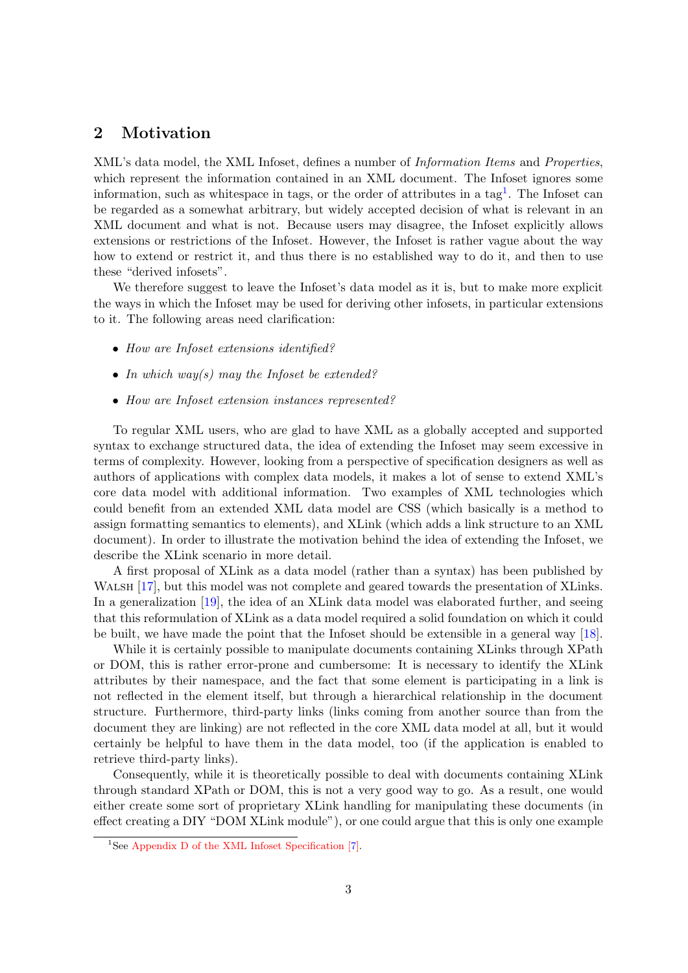### <span id="page-2-0"></span>2 Motivation

XML's data model, the XML Infoset, defines a number of Information Items and Properties, which represent the information contained in an XML document. The Infoset ignores some information, such as whitespace in tags, or the order of attributes in a tag<sup>1</sup>. The Infoset can be regarded as a somewhat arbitrary, but widely accepted decision of what is relevant in an XML document and what is not. Because users may disagree, the Infoset explicitly allows extensions or restrictions of the Infoset. However, the Infoset is rather vague about the way how to extend or restrict it, and thus there is no established way to do it, and then to use these "derived infosets".

We therefore suggest to leave the Infoset's data model as it is, but to make more explicit the ways in which the Infoset may be used for deriving other infosets, in particular extensions to it. The following areas need clarification:

- How are Infoset extensions identified?
- In which way(s) may the Infoset be extended?
- How are Infoset extension instances represented?

To regular XML users, who are glad to have XML as a globally accepted and supported syntax to exchange structured data, the idea of extending the Infoset may seem excessive in terms of complexity. However, looking from a perspective of specification designers as well as authors of applications with complex data models, it makes a lot of sense to extend XML's core data model with additional information. Two examples of XML technologies which could benefit from an extended XML data model are CSS (which basically is a method to assign formatting semantics to elements), and XLink (which adds a link structure to an XML document). In order to illustrate the motivation behind the idea of extending the Infoset, we describe the XLink scenario in more detail.

A first proposal of XLink as a data model (rather than a syntax) has been published by WALSH [\[17\]](#page-13-0), but this model was not complete and geared towards the presentation of XLinks. In a generalization [\[19\]](#page-14-0), the idea of an XLink data model was elaborated further, and seeing that this reformulation of XLink as a data model required a solid foundation on which it could be built, we have made the point that the Infoset should be extensible in a general way [\[18\]](#page-13-0).

While it is certainly possible to manipulate documents containing XLinks through XPath or DOM, this is rather error-prone and cumbersome: It is necessary to identify the XLink attributes by their namespace, and the fact that some element is participating in a link is not reflected in the element itself, but through a hierarchical relationship in the document structure. Furthermore, third-party links (links coming from another source than from the document they are linking) are not reflected in the core XML data model at all, but it would certainly be helpful to have them in the data model, too (if the application is enabled to retrieve third-party links).

Consequently, while it is theoretically possible to deal with documents containing XLink through standard XPath or DOM, this is not a very good way to go. As a result, one would either create some sort of proprietary XLink handling for manipulating these documents (in effect creating a DIY "DOM XLink module"), or one could argue that this is only one example

<sup>&</sup>lt;sup>1</sup>See [Appendix D of the XML Infoset Specification \[7\].](http://www.w3.org/TR/xml-infoset/#omitted)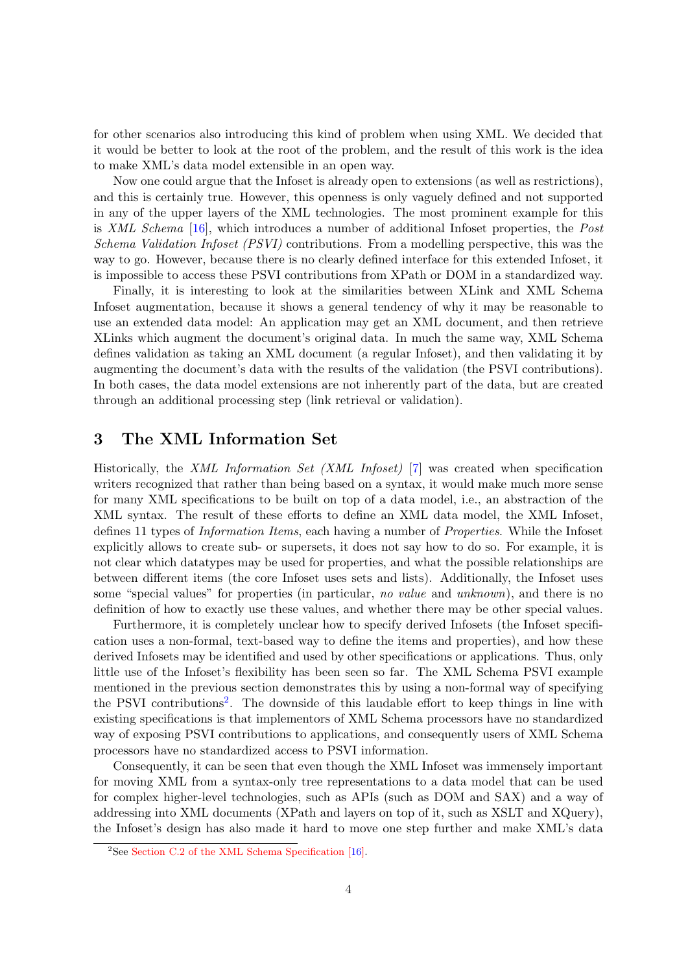<span id="page-3-0"></span>for other scenarios also introducing this kind of problem when using XML. We decided that it would be better to look at the root of the problem, and the result of this work is the idea to make XML's data model extensible in an open way.

Now one could argue that the Infoset is already open to extensions (as well as restrictions), and this is certainly true. However, this openness is only vaguely defined and not supported in any of the upper layers of the XML technologies. The most prominent example for this is XML Schema [\[16\]](#page-13-0), which introduces a number of additional Infoset properties, the Post Schema Validation Infoset (PSVI) contributions. From a modelling perspective, this was the way to go. However, because there is no clearly defined interface for this extended Infoset, it is impossible to access these PSVI contributions from XPath or DOM in a standardized way.

Finally, it is interesting to look at the similarities between XLink and XML Schema Infoset augmentation, because it shows a general tendency of why it may be reasonable to use an extended data model: An application may get an XML document, and then retrieve XLinks which augment the document's original data. In much the same way, XML Schema defines validation as taking an XML document (a regular Infoset), and then validating it by augmenting the document's data with the results of the validation (the PSVI contributions). In both cases, the data model extensions are not inherently part of the data, but are created through an additional processing step (link retrieval or validation).

### 3 The XML Information Set

Historically, the XML Information Set (XML Infoset) [\[7\]](#page-13-0) was created when specification writers recognized that rather than being based on a syntax, it would make much more sense for many XML specifications to be built on top of a data model, i.e., an abstraction of the XML syntax. The result of these efforts to define an XML data model, the XML Infoset, defines 11 types of *Information Items*, each having a number of *Properties*. While the Infoset explicitly allows to create sub- or supersets, it does not say how to do so. For example, it is not clear which datatypes may be used for properties, and what the possible relationships are between different items (the core Infoset uses sets and lists). Additionally, the Infoset uses some "special values" for properties (in particular, no value and unknown), and there is no definition of how to exactly use these values, and whether there may be other special values.

Furthermore, it is completely unclear how to specify derived Infosets (the Infoset specification uses a non-formal, text-based way to define the items and properties), and how these derived Infosets may be identified and used by other specifications or applications. Thus, only little use of the Infoset's flexibility has been seen so far. The XML Schema PSVI example mentioned in the previous section demonstrates this by using a non-formal way of specifying the PSVI contributions<sup>2</sup>. The downside of this laudable effort to keep things in line with existing specifications is that implementors of XML Schema processors have no standardized way of exposing PSVI contributions to applications, and consequently users of XML Schema processors have no standardized access to PSVI information.

Consequently, it can be seen that even though the XML Infoset was immensely important for moving XML from a syntax-only tree representations to a data model that can be used for complex higher-level technologies, such as APIs (such as DOM and SAX) and a way of addressing into XML documents (XPath and layers on top of it, such as XSLT and XQuery), the Infoset's design has also made it hard to move one step further and make XML's data

<sup>&</sup>lt;sup>2</sup>See [Section C.2 of the XML Schema Specification \[16\].](http://www.w3.org/TR/xmlschema-1/#PSVI_contributions)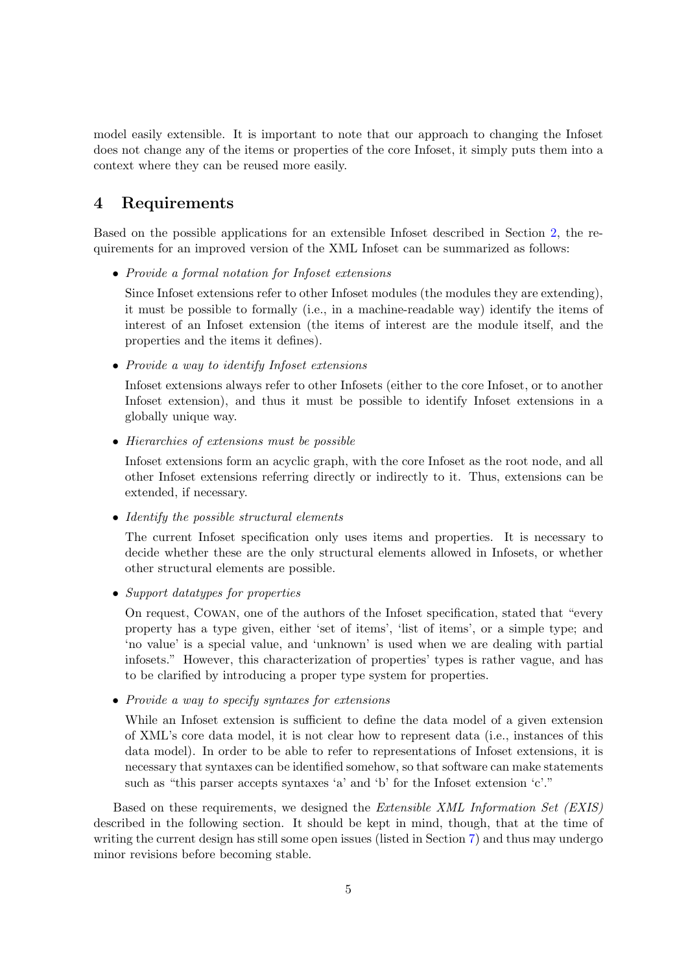<span id="page-4-0"></span>model easily extensible. It is important to note that our approach to changing the Infoset does not change any of the items or properties of the core Infoset, it simply puts them into a context where they can be reused more easily.

### 4 Requirements

Based on the possible applications for an extensible Infoset described in Section [2,](#page-2-0) the requirements for an improved version of the XML Infoset can be summarized as follows:

• Provide a formal notation for Infoset extensions

Since Infoset extensions refer to other Infoset modules (the modules they are extending), it must be possible to formally (i.e., in a machine-readable way) identify the items of interest of an Infoset extension (the items of interest are the module itself, and the properties and the items it defines).

• Provide a way to identify Infoset extensions

Infoset extensions always refer to other Infosets (either to the core Infoset, or to another Infoset extension), and thus it must be possible to identify Infoset extensions in a globally unique way.

• Hierarchies of extensions must be possible

Infoset extensions form an acyclic graph, with the core Infoset as the root node, and all other Infoset extensions referring directly or indirectly to it. Thus, extensions can be extended, if necessary.

• Identify the possible structural elements

The current Infoset specification only uses items and properties. It is necessary to decide whether these are the only structural elements allowed in Infosets, or whether other structural elements are possible.

• Support datatypes for properties

On request, Cowan, one of the authors of the Infoset specification, stated that "every property has a type given, either 'set of items', 'list of items', or a simple type; and 'no value' is a special value, and 'unknown' is used when we are dealing with partial infosets." However, this characterization of properties' types is rather vague, and has to be clarified by introducing a proper type system for properties.

• Provide a way to specify syntaxes for extensions

While an Infoset extension is sufficient to define the data model of a given extension of XML's core data model, it is not clear how to represent data (i.e., instances of this data model). In order to be able to refer to representations of Infoset extensions, it is necessary that syntaxes can be identified somehow, so that software can make statements such as "this parser accepts syntaxes 'a' and 'b' for the Infoset extension 'c'."

Based on these requirements, we designed the Extensible XML Information Set (EXIS) described in the following section. It should be kept in mind, though, that at the time of writing the current design has still some open issues (listed in Section [7\)](#page-11-0) and thus may undergo minor revisions before becoming stable.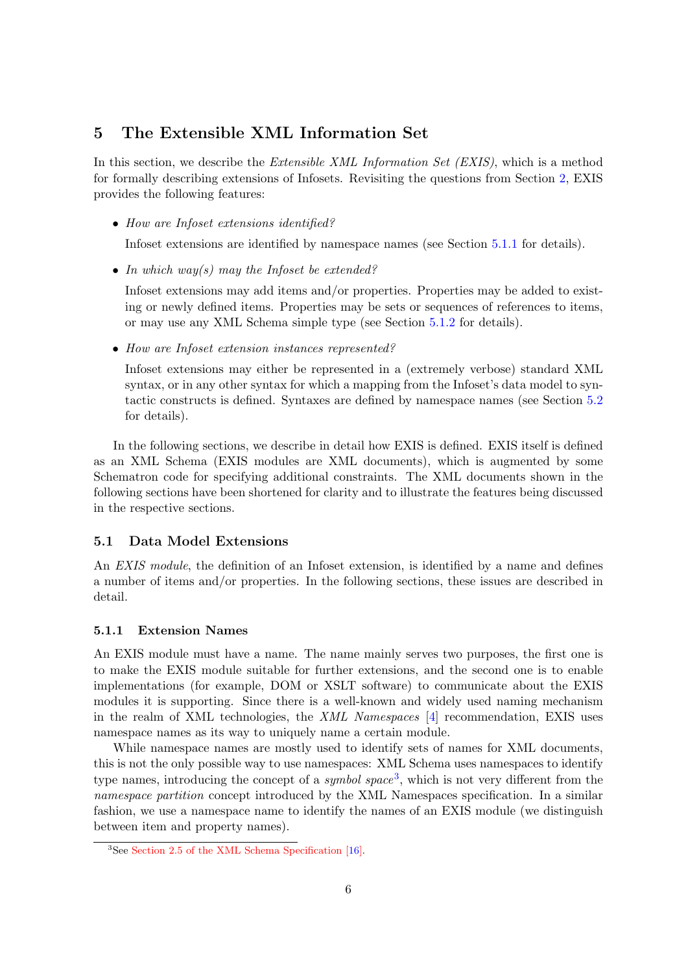### <span id="page-5-0"></span>5 The Extensible XML Information Set

In this section, we describe the *Extensible XML Information Set (EXIS)*, which is a method for formally describing extensions of Infosets. Revisiting the questions from Section [2,](#page-2-0) EXIS provides the following features:

• How are Infoset extensions identified?

Infoset extensions are identified by namespace names (see Section 5.1.1 for details).

• In which way(s) may the Infoset be extended?

Infoset extensions may add items and/or properties. Properties may be added to existing or newly defined items. Properties may be sets or sequences of references to items, or may use any XML Schema simple type (see Section [5.1.2](#page-6-0) for details).

• How are Infoset extension instances represented?

Infoset extensions may either be represented in a (extremely verbose) standard XML syntax, or in any other syntax for which a mapping from the Infoset's data model to syntactic constructs is defined. Syntaxes are defined by namespace names (see Section [5.2](#page-7-0) for details).

In the following sections, we describe in detail how EXIS is defined. EXIS itself is defined as an XML Schema (EXIS modules are XML documents), which is augmented by some Schematron code for specifying additional constraints. The XML documents shown in the following sections have been shortened for clarity and to illustrate the features being discussed in the respective sections.

#### 5.1 Data Model Extensions

An *EXIS module*, the definition of an Infoset extension, is identified by a name and defines a number of items and/or properties. In the following sections, these issues are described in detail.

#### 5.1.1 Extension Names

An EXIS module must have a name. The name mainly serves two purposes, the first one is to make the EXIS module suitable for further extensions, and the second one is to enable implementations (for example, DOM or XSLT software) to communicate about the EXIS modules it is supporting. Since there is a well-known and widely used naming mechanism in the realm of XML technologies, the XML Namespaces [\[4\]](#page-13-0) recommendation, EXIS uses namespace names as its way to uniquely name a certain module.

While namespace names are mostly used to identify sets of names for XML documents, this is not the only possible way to use namespaces: XML Schema uses namespaces to identify type names, introducing the concept of a *symbol space*<sup>3</sup>, which is not very different from the namespace partition concept introduced by the XML Namespaces specification. In a similar fashion, we use a namespace name to identify the names of an EXIS module (we distinguish between item and property names).

<sup>&</sup>lt;sup>3</sup>See [Section 2.5 of the XML Schema Specification \[16\].](http://www.w3.org/TR/xmlschema-1/#concepts-nameSymbolSpaces)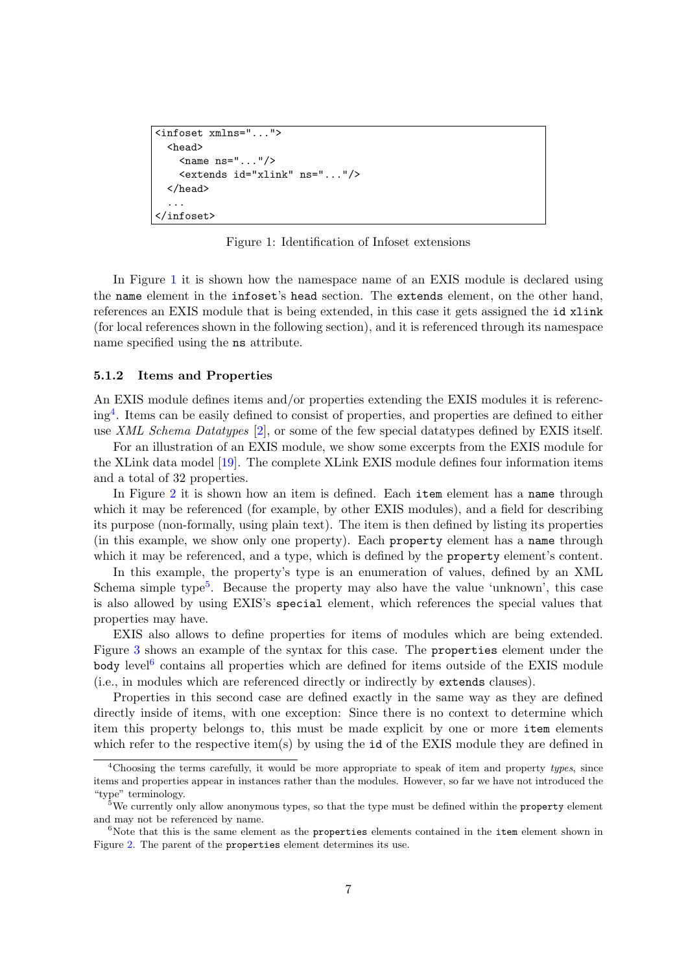```
<infoset xmlns="...">
  <head>
    \langlename ns="..."/>
    <extends id="xlink" ns="..."/>
  </head>
  ...
</infoset>
```
Figure 1: Identification of Infoset extensions

In Figure 1 it is shown how the namespace name of an EXIS module is declared using the name element in the infoset's head section. The extends element, on the other hand, references an EXIS module that is being extended, in this case it gets assigned the id xlink (for local references shown in the following section), and it is referenced through its namespace name specified using the ns attribute.

#### 5.1.2 Items and Properties

An EXIS module defines items and/or properties extending the EXIS modules it is referencing<sup>4</sup> . Items can be easily defined to consist of properties, and properties are defined to either use XML Schema Datatypes [\[2\]](#page-13-0), or some of the few special datatypes defined by EXIS itself.

For an illustration of an EXIS module, we show some excerpts from the EXIS module for the XLink data model [\[19\]](#page-14-0). The complete XLink EXIS module defines four information items and a total of 32 properties.

In Figure [2](#page-7-0) it is shown how an item is defined. Each item element has a name through which it may be referenced (for example, by other EXIS modules), and a field for describing its purpose (non-formally, using plain text). The item is then defined by listing its properties (in this example, we show only one property). Each property element has a name through which it may be referenced, and a type, which is defined by the property element's content.

In this example, the property's type is an enumeration of values, defined by an XML Schema simple type<sup>5</sup>. Because the property may also have the value 'unknown', this case is also allowed by using EXIS's special element, which references the special values that properties may have.

EXIS also allows to define properties for items of modules which are being extended. Figure [3](#page-8-0) shows an example of the syntax for this case. The properties element under the body level<sup>6</sup> contains all properties which are defined for items outside of the EXIS module (i.e., in modules which are referenced directly or indirectly by extends clauses).

Properties in this second case are defined exactly in the same way as they are defined directly inside of items, with one exception: Since there is no context to determine which item this property belongs to, this must be made explicit by one or more item elements which refer to the respective item(s) by using the id of the EXIS module they are defined in

<sup>&</sup>lt;sup>4</sup>Choosing the terms carefully, it would be more appropriate to speak of item and property types, since items and properties appear in instances rather than the modules. However, so far we have not introduced the "type" terminology.

<sup>&</sup>lt;sup>5</sup>We currently only allow anonymous types, so that the type must be defined within the **property** element and may not be referenced by name.

 $6$ Note that this is the same element as the properties elements contained in the item element shown in Figure [2.](#page-7-0) The parent of the properties element determines its use.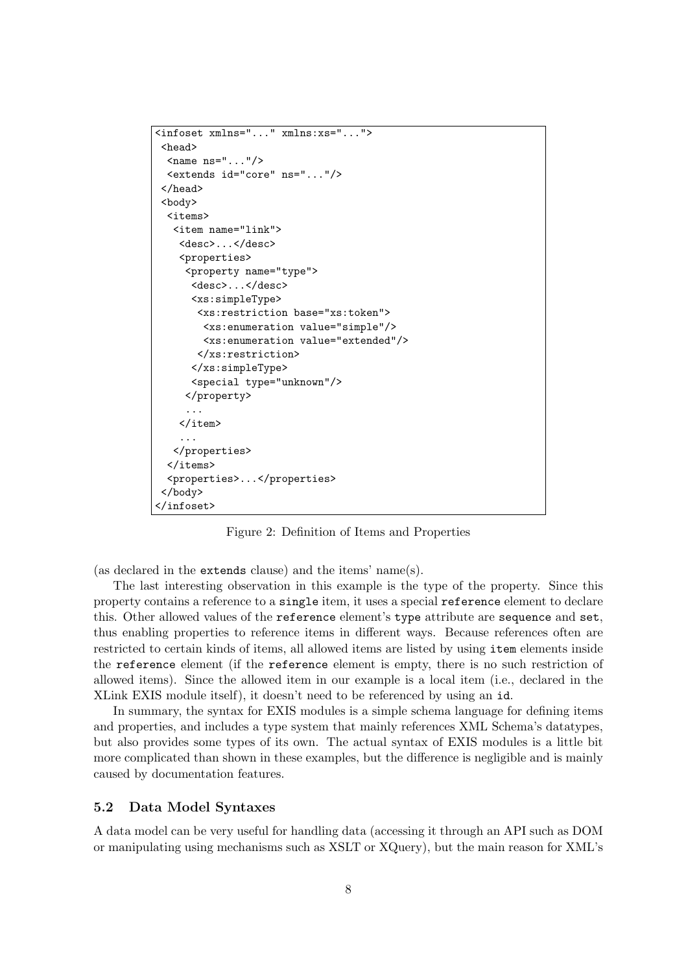```
<infoset xmlns="..." xmlns:xs="...">
<head>
 \langlename ns="..."/>
 <extends id="core" ns="..."/>
</head>
<body>
 <items>
  <item name="link">
   <desc>...</desc>
   <properties>
     <property name="type">
      <desc>...</desc>
      <xs:simpleType>
       <xs:restriction base="xs:token">
        <xs:enumeration value="simple"/>
        <xs:enumeration value="extended"/>
       </xs:restriction>
      </xs:simpleType>
      <special type="unknown"/>
     </property>
     ...
   </item>
    ...
  </properties>
 </items>
 <properties>...</properties>
</body>
</infoset>
```
Figure 2: Definition of Items and Properties

(as declared in the extends clause) and the items' name(s).

The last interesting observation in this example is the type of the property. Since this property contains a reference to a single item, it uses a special reference element to declare this. Other allowed values of the reference element's type attribute are sequence and set, thus enabling properties to reference items in different ways. Because references often are restricted to certain kinds of items, all allowed items are listed by using item elements inside the reference element (if the reference element is empty, there is no such restriction of allowed items). Since the allowed item in our example is a local item (i.e., declared in the XLink EXIS module itself), it doesn't need to be referenced by using an id.

In summary, the syntax for EXIS modules is a simple schema language for defining items and properties, and includes a type system that mainly references XML Schema's datatypes, but also provides some types of its own. The actual syntax of EXIS modules is a little bit more complicated than shown in these examples, but the difference is negligible and is mainly caused by documentation features.

#### 5.2 Data Model Syntaxes

A data model can be very useful for handling data (accessing it through an API such as DOM or manipulating using mechanisms such as XSLT or XQuery), but the main reason for XML's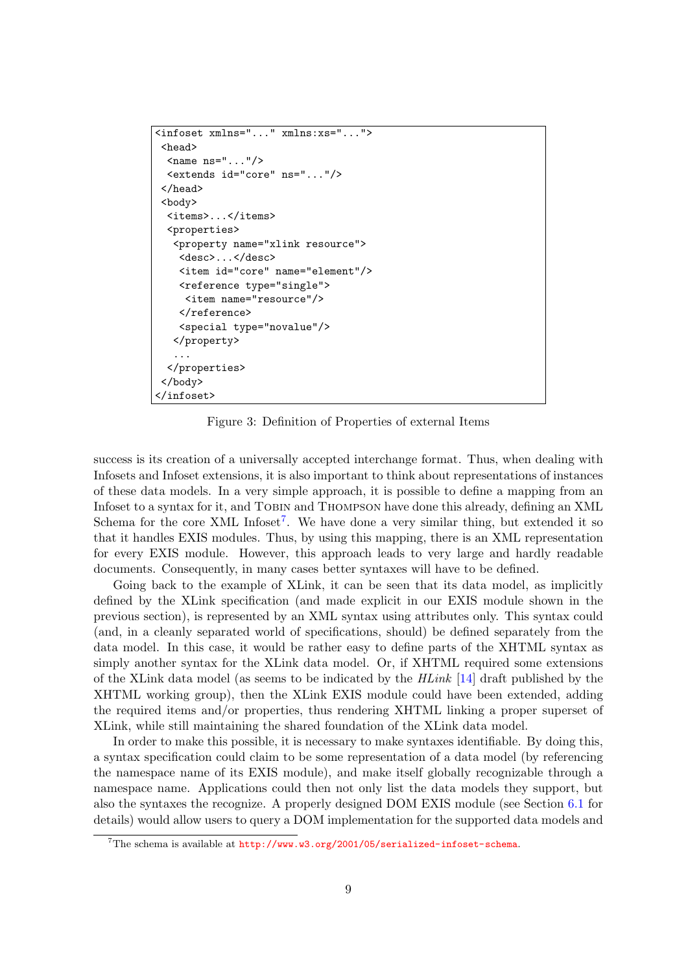```
<infoset xmlns="..." xmlns:xs="...">
<head>
 \langlename ns="..."/>
 <extends id="core" ns="..."/>
</head>
<body>
 <items>...</items>
 <properties>
  <property name="xlink resource">
   <desc>...</desc>
   <item id="core" name="element"/>
   <reference type="single">
     <item name="resource"/>
   </reference>
   <special type="novalue"/>
   </property>
   ...
 </properties>
</body>
</infoset>
```
Figure 3: Definition of Properties of external Items

success is its creation of a universally accepted interchange format. Thus, when dealing with Infosets and Infoset extensions, it is also important to think about representations of instances of these data models. In a very simple approach, it is possible to define a mapping from an Infoset to a syntax for it, and TOBIN and THOMPSON have done this already, defining an XML Schema for the core XML Infoset<sup>7</sup>. We have done a very similar thing, but extended it so that it handles EXIS modules. Thus, by using this mapping, there is an XML representation for every EXIS module. However, this approach leads to very large and hardly readable documents. Consequently, in many cases better syntaxes will have to be defined.

Going back to the example of XLink, it can be seen that its data model, as implicitly defined by the XLink specification (and made explicit in our EXIS module shown in the previous section), is represented by an XML syntax using attributes only. This syntax could (and, in a cleanly separated world of specifications, should) be defined separately from the data model. In this case, it would be rather easy to define parts of the XHTML syntax as simply another syntax for the XLink data model. Or, if XHTML required some extensions of the XLink data model (as seems to be indicated by the  $HLink$  [\[14\]](#page-13-0) draft published by the XHTML working group), then the XLink EXIS module could have been extended, adding the required items and/or properties, thus rendering XHTML linking a proper superset of XLink, while still maintaining the shared foundation of the XLink data model.

In order to make this possible, it is necessary to make syntaxes identifiable. By doing this, a syntax specification could claim to be some representation of a data model (by referencing the namespace name of its EXIS module), and make itself globally recognizable through a namespace name. Applications could then not only list the data models they support, but also the syntaxes the recognize. A properly designed DOM EXIS module (see Section [6.1](#page-9-0) for details) would allow users to query a DOM implementation for the supported data models and

 $7$ The schema is available at  $http://www.w3.org/2001/05/serialized-infoset-schema.$  $http://www.w3.org/2001/05/serialized-infoset-schema.$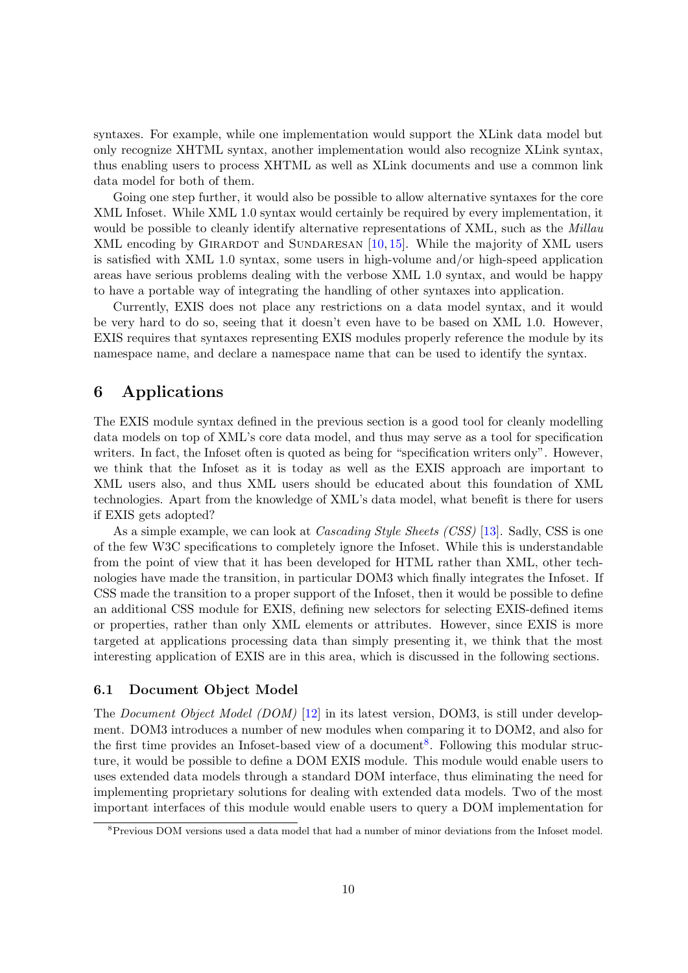<span id="page-9-0"></span>syntaxes. For example, while one implementation would support the XLink data model but only recognize XHTML syntax, another implementation would also recognize XLink syntax, thus enabling users to process XHTML as well as XLink documents and use a common link data model for both of them.

Going one step further, it would also be possible to allow alternative syntaxes for the core XML Infoset. While XML 1.0 syntax would certainly be required by every implementation, it would be possible to cleanly identify alternative representations of XML, such as the *Millau* XML encoding by GIRARDOT and SUNDARESAN  $[10, 15]$  $[10, 15]$  $[10, 15]$ . While the majority of XML users is satisfied with XML 1.0 syntax, some users in high-volume and/or high-speed application areas have serious problems dealing with the verbose XML 1.0 syntax, and would be happy to have a portable way of integrating the handling of other syntaxes into application.

Currently, EXIS does not place any restrictions on a data model syntax, and it would be very hard to do so, seeing that it doesn't even have to be based on XML 1.0. However, EXIS requires that syntaxes representing EXIS modules properly reference the module by its namespace name, and declare a namespace name that can be used to identify the syntax.

### 6 Applications

The EXIS module syntax defined in the previous section is a good tool for cleanly modelling data models on top of XML's core data model, and thus may serve as a tool for specification writers. In fact, the Infoset often is quoted as being for "specification writers only". However, we think that the Infoset as it is today as well as the EXIS approach are important to XML users also, and thus XML users should be educated about this foundation of XML technologies. Apart from the knowledge of XML's data model, what benefit is there for users if EXIS gets adopted?

As a simple example, we can look at *Cascading Style Sheets (CSS)* [\[13\]](#page-13-0). Sadly, CSS is one of the few W3C specifications to completely ignore the Infoset. While this is understandable from the point of view that it has been developed for HTML rather than XML, other technologies have made the transition, in particular DOM3 which finally integrates the Infoset. If CSS made the transition to a proper support of the Infoset, then it would be possible to define an additional CSS module for EXIS, defining new selectors for selecting EXIS-defined items or properties, rather than only XML elements or attributes. However, since EXIS is more targeted at applications processing data than simply presenting it, we think that the most interesting application of EXIS are in this area, which is discussed in the following sections.

#### 6.1 Document Object Model

The Document Object Model (DOM) [\[12\]](#page-13-0) in its latest version, DOM3, is still under development. DOM3 introduces a number of new modules when comparing it to DOM2, and also for the first time provides an Infoset-based view of a document<sup>8</sup>. Following this modular structure, it would be possible to define a DOM EXIS module. This module would enable users to uses extended data models through a standard DOM interface, thus eliminating the need for implementing proprietary solutions for dealing with extended data models. Two of the most important interfaces of this module would enable users to query a DOM implementation for

<sup>&</sup>lt;sup>8</sup>Previous DOM versions used a data model that had a number of minor deviations from the Infoset model.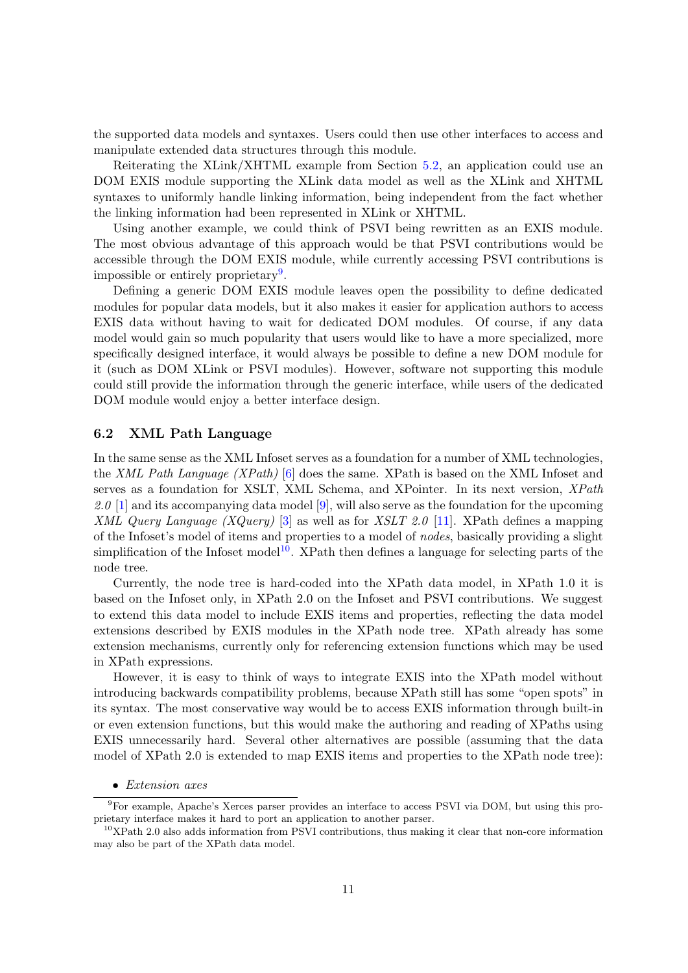the supported data models and syntaxes. Users could then use other interfaces to access and manipulate extended data structures through this module.

Reiterating the XLink/XHTML example from Section [5.2,](#page-7-0) an application could use an DOM EXIS module supporting the XLink data model as well as the XLink and XHTML syntaxes to uniformly handle linking information, being independent from the fact whether the linking information had been represented in XLink or XHTML.

Using another example, we could think of PSVI being rewritten as an EXIS module. The most obvious advantage of this approach would be that PSVI contributions would be accessible through the DOM EXIS module, while currently accessing PSVI contributions is impossible or entirely proprietary<sup>9</sup>.

Defining a generic DOM EXIS module leaves open the possibility to define dedicated modules for popular data models, but it also makes it easier for application authors to access EXIS data without having to wait for dedicated DOM modules. Of course, if any data model would gain so much popularity that users would like to have a more specialized, more specifically designed interface, it would always be possible to define a new DOM module for it (such as DOM XLink or PSVI modules). However, software not supporting this module could still provide the information through the generic interface, while users of the dedicated DOM module would enjoy a better interface design.

#### 6.2 XML Path Language

In the same sense as the XML Infoset serves as a foundation for a number of XML technologies, the XML Path Language (XPath) [\[6\]](#page-13-0) does the same. XPath is based on the XML Infoset and serves as a foundation for XSLT, XML Schema, and XPointer. In its next version, XPath 2.0 [\[1\]](#page-13-0) and its accompanying data model [\[9\]](#page-13-0), will also serve as the foundation for the upcoming XML Query Language (XQuery) [\[3\]](#page-13-0) as well as for XSLT 2.0 [\[11\]](#page-13-0). XPath defines a mapping of the Infoset's model of items and properties to a model of nodes, basically providing a slight simplification of the Infoset model<sup>10</sup>. XPath then defines a language for selecting parts of the node tree.

Currently, the node tree is hard-coded into the XPath data model, in XPath 1.0 it is based on the Infoset only, in XPath 2.0 on the Infoset and PSVI contributions. We suggest to extend this data model to include EXIS items and properties, reflecting the data model extensions described by EXIS modules in the XPath node tree. XPath already has some extension mechanisms, currently only for referencing extension functions which may be used in XPath expressions.

However, it is easy to think of ways to integrate EXIS into the XPath model without introducing backwards compatibility problems, because XPath still has some "open spots" in its syntax. The most conservative way would be to access EXIS information through built-in or even extension functions, but this would make the authoring and reading of XPaths using EXIS unnecessarily hard. Several other alternatives are possible (assuming that the data model of XPath 2.0 is extended to map EXIS items and properties to the XPath node tree):

#### • Extension axes

<sup>9</sup>For example, Apache's Xerces parser provides an interface to access PSVI via DOM, but using this proprietary interface makes it hard to port an application to another parser.

 $10$ XPath 2.0 also adds information from PSVI contributions, thus making it clear that non-core information may also be part of the XPath data model.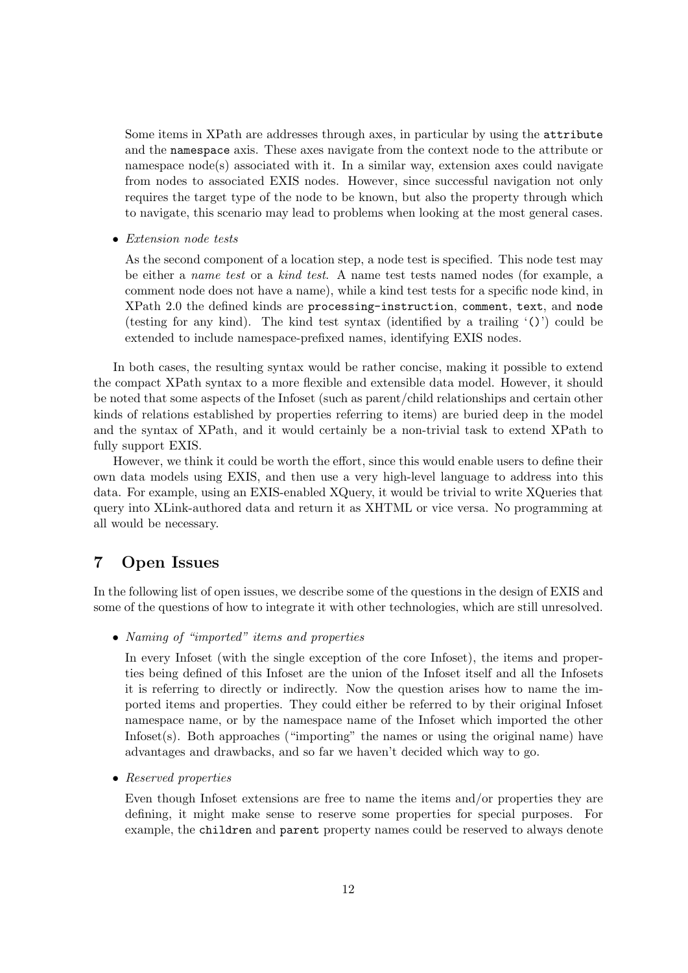<span id="page-11-0"></span>Some items in XPath are addresses through axes, in particular by using the attribute and the namespace axis. These axes navigate from the context node to the attribute or namespace node(s) associated with it. In a similar way, extension axes could navigate from nodes to associated EXIS nodes. However, since successful navigation not only requires the target type of the node to be known, but also the property through which to navigate, this scenario may lead to problems when looking at the most general cases.

• Extension node tests

As the second component of a location step, a node test is specified. This node test may be either a name test or a kind test. A name test tests named nodes (for example, a comment node does not have a name), while a kind test tests for a specific node kind, in XPath 2.0 the defined kinds are processing-instruction, comment, text, and node (testing for any kind). The kind test syntax (identified by a trailing  $'(')'$ ) could be extended to include namespace-prefixed names, identifying EXIS nodes.

In both cases, the resulting syntax would be rather concise, making it possible to extend the compact XPath syntax to a more flexible and extensible data model. However, it should be noted that some aspects of the Infoset (such as parent/child relationships and certain other kinds of relations established by properties referring to items) are buried deep in the model and the syntax of XPath, and it would certainly be a non-trivial task to extend XPath to fully support EXIS.

However, we think it could be worth the effort, since this would enable users to define their own data models using EXIS, and then use a very high-level language to address into this data. For example, using an EXIS-enabled XQuery, it would be trivial to write XQueries that query into XLink-authored data and return it as XHTML or vice versa. No programming at all would be necessary.

## 7 Open Issues

In the following list of open issues, we describe some of the questions in the design of EXIS and some of the questions of how to integrate it with other technologies, which are still unresolved.

• Naming of "imported" items and properties

In every Infoset (with the single exception of the core Infoset), the items and properties being defined of this Infoset are the union of the Infoset itself and all the Infosets it is referring to directly or indirectly. Now the question arises how to name the imported items and properties. They could either be referred to by their original Infoset namespace name, or by the namespace name of the Infoset which imported the other Infoset(s). Both approaches ("importing" the names or using the original name) have advantages and drawbacks, and so far we haven't decided which way to go.

• Reserved properties

Even though Infoset extensions are free to name the items and/or properties they are defining, it might make sense to reserve some properties for special purposes. For example, the children and parent property names could be reserved to always denote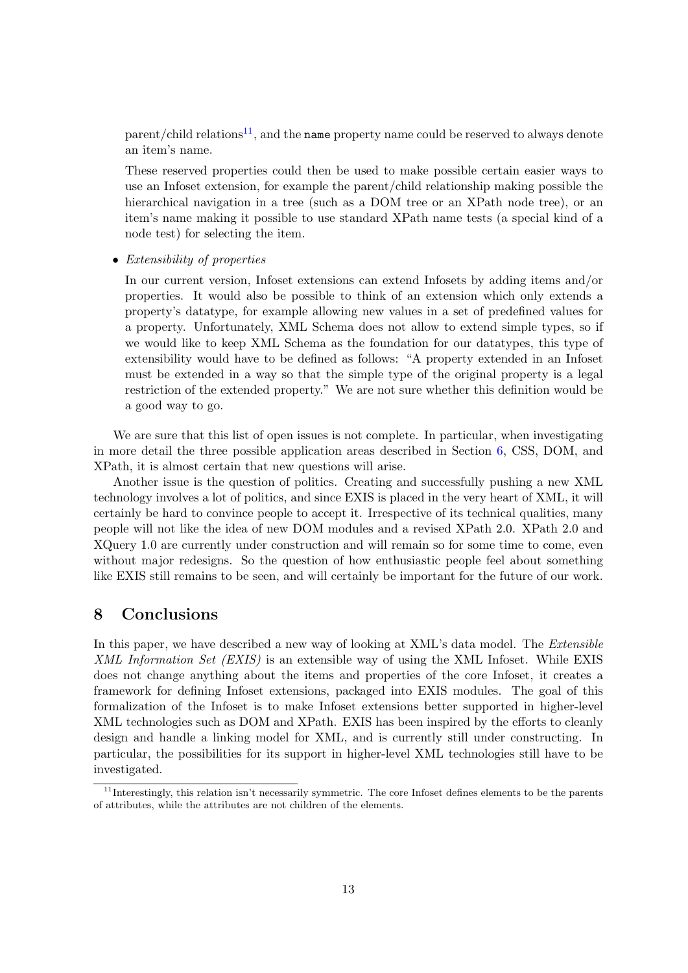<span id="page-12-0"></span>parent/child relations<sup>11</sup>, and the **name** property name could be reserved to always denote an item's name.

These reserved properties could then be used to make possible certain easier ways to use an Infoset extension, for example the parent/child relationship making possible the hierarchical navigation in a tree (such as a DOM tree or an XPath node tree), or an item's name making it possible to use standard XPath name tests (a special kind of a node test) for selecting the item.

• Extensibility of properties

In our current version, Infoset extensions can extend Infosets by adding items and/or properties. It would also be possible to think of an extension which only extends a property's datatype, for example allowing new values in a set of predefined values for a property. Unfortunately, XML Schema does not allow to extend simple types, so if we would like to keep XML Schema as the foundation for our datatypes, this type of extensibility would have to be defined as follows: "A property extended in an Infoset must be extended in a way so that the simple type of the original property is a legal restriction of the extended property." We are not sure whether this definition would be a good way to go.

We are sure that this list of open issues is not complete. In particular, when investigating in more detail the three possible application areas described in Section [6,](#page-9-0) CSS, DOM, and XPath, it is almost certain that new questions will arise.

Another issue is the question of politics. Creating and successfully pushing a new XML technology involves a lot of politics, and since EXIS is placed in the very heart of XML, it will certainly be hard to convince people to accept it. Irrespective of its technical qualities, many people will not like the idea of new DOM modules and a revised XPath 2.0. XPath 2.0 and XQuery 1.0 are currently under construction and will remain so for some time to come, even without major redesigns. So the question of how enthusiastic people feel about something like EXIS still remains to be seen, and will certainly be important for the future of our work.

# 8 Conclusions

In this paper, we have described a new way of looking at XML's data model. The Extensible XML Information Set (EXIS) is an extensible way of using the XML Infoset. While EXIS does not change anything about the items and properties of the core Infoset, it creates a framework for defining Infoset extensions, packaged into EXIS modules. The goal of this formalization of the Infoset is to make Infoset extensions better supported in higher-level XML technologies such as DOM and XPath. EXIS has been inspired by the efforts to cleanly design and handle a linking model for XML, and is currently still under constructing. In particular, the possibilities for its support in higher-level XML technologies still have to be investigated.

<sup>&</sup>lt;sup>11</sup>Interestingly, this relation isn't necessarily symmetric. The core Infoset defines elements to be the parents of attributes, while the attributes are not children of the elements.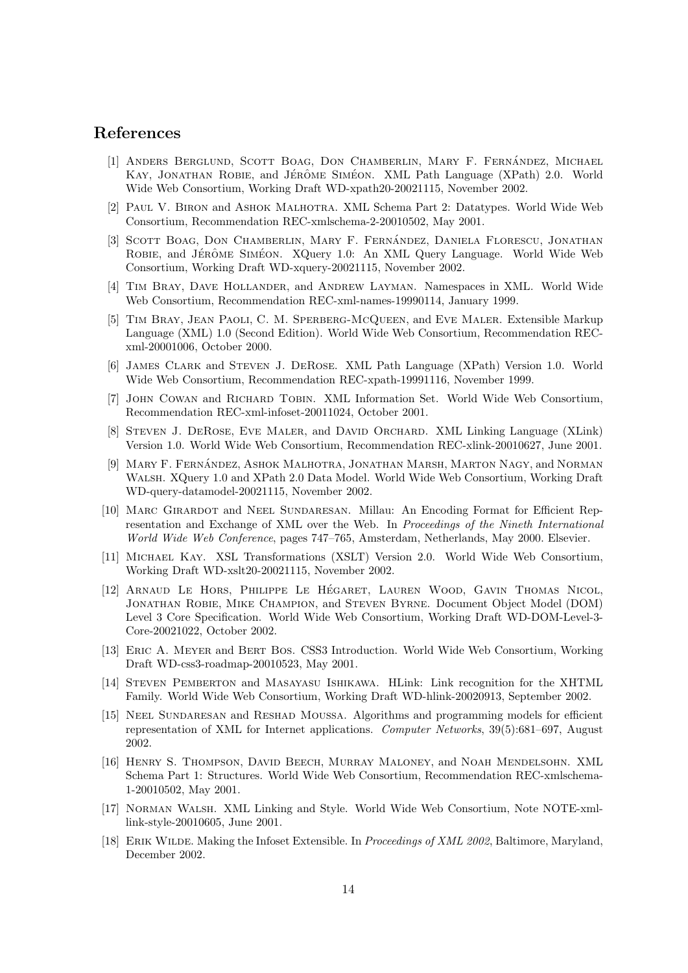### <span id="page-13-0"></span>References

- [1] ANDERS BERGLUND, SCOTT BOAG, DON CHAMBERLIN, MARY F. FERNÁNDEZ, MICHAEL KAY, JONATHAN ROBIE, and JÉRÔME SIMÉON. XML Path Language (XPath) 2.0. World Wide Web Consortium, Working Draft WD-xpath20-20021115, November 2002.
- [2] Paul V. Biron and Ashok Malhotra. XML Schema Part 2: Datatypes. World Wide Web Consortium, Recommendation REC-xmlschema-2-20010502, May 2001.
- [3] SCOTT BOAG, DON CHAMBERLIN, MARY F. FERNÁNDEZ, DANIELA FLORESCU, JONATHAN ROBIE, and JÉRÔME SIMÉON. XQuery 1.0: An XML Query Language. World Wide Web Consortium, Working Draft WD-xquery-20021115, November 2002.
- [4] Tim Bray, Dave Hollander, and Andrew Layman. Namespaces in XML. World Wide Web Consortium, Recommendation REC-xml-names-19990114, January 1999.
- [5] Tim Bray, Jean Paoli, C. M. Sperberg-McQueen, and Eve Maler. Extensible Markup Language (XML) 1.0 (Second Edition). World Wide Web Consortium, Recommendation RECxml-20001006, October 2000.
- [6] James Clark and Steven J. DeRose. XML Path Language (XPath) Version 1.0. World Wide Web Consortium, Recommendation REC-xpath-19991116, November 1999.
- [7] John Cowan and Richard Tobin. XML Information Set. World Wide Web Consortium, Recommendation REC-xml-infoset-20011024, October 2001.
- [8] Steven J. DeRose, Eve Maler, and David Orchard. XML Linking Language (XLink) Version 1.0. World Wide Web Consortium, Recommendation REC-xlink-20010627, June 2001.
- [9] MARY F. FERNÁNDEZ, ASHOK MALHOTRA, JONATHAN MARSH, MARTON NAGY, and NORMAN Walsh. XQuery 1.0 and XPath 2.0 Data Model. World Wide Web Consortium, Working Draft WD-query-datamodel-20021115, November 2002.
- [10] Marc Girardot and Neel Sundaresan. Millau: An Encoding Format for Efficient Representation and Exchange of XML over the Web. In Proceedings of the Nineth International World Wide Web Conference, pages 747–765, Amsterdam, Netherlands, May 2000. Elsevier.
- [11] Michael Kay. XSL Transformations (XSLT) Version 2.0. World Wide Web Consortium, Working Draft WD-xslt20-20021115, November 2002.
- [12] ARNAUD LE HORS, PHILIPPE LE HÉGARET, LAUREN WOOD, GAVIN THOMAS NICOL, Jonathan Robie, Mike Champion, and Steven Byrne. Document Object Model (DOM) Level 3 Core Specification. World Wide Web Consortium, Working Draft WD-DOM-Level-3- Core-20021022, October 2002.
- [13] Eric A. Meyer and Bert Bos. CSS3 Introduction. World Wide Web Consortium, Working Draft WD-css3-roadmap-20010523, May 2001.
- [14] Steven Pemberton and Masayasu Ishikawa. HLink: Link recognition for the XHTML Family. World Wide Web Consortium, Working Draft WD-hlink-20020913, September 2002.
- [15] Neel Sundaresan and Reshad Moussa. Algorithms and programming models for efficient representation of XML for Internet applications. Computer Networks, 39(5):681–697, August 2002.
- [16] Henry S. Thompson, David Beech, Murray Maloney, and Noah Mendelsohn. XML Schema Part 1: Structures. World Wide Web Consortium, Recommendation REC-xmlschema-1-20010502, May 2001.
- [17] Norman Walsh. XML Linking and Style. World Wide Web Consortium, Note NOTE-xmllink-style-20010605, June 2001.
- [18] ERIK WILDE. Making the Infoset Extensible. In *Proceedings of XML 2002*, Baltimore, Maryland, December 2002.